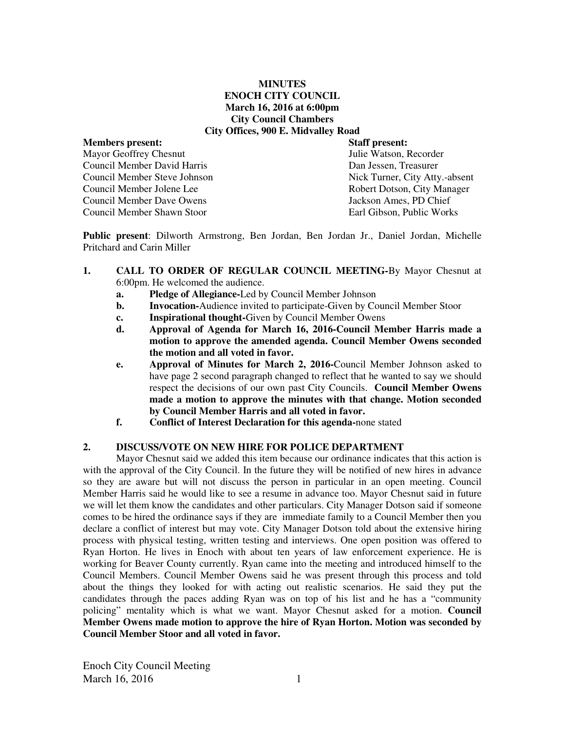## **MINUTES ENOCH CITY COUNCIL March 16, 2016 at 6:00pm City Council Chambers City Offices, 900 E. Midvalley Road**

# **Members present: Staff present:**  Mayor Geoffrey Chesnut Julie Watson, Recorder Council Member David Harris Dan Jessen, Treasurer Council Member Steve Johnson Nick Turner, City Atty.-absent Council Member Jolene Lee Robert Dotson, City Manager Council Member Dave Owens Jackson Ames, PD Chief Council Member Shawn Stoor Earl Gibson, Public Works

**Public present**: Dilworth Armstrong, Ben Jordan, Ben Jordan Jr., Daniel Jordan, Michelle Pritchard and Carin Miller

- **1. CALL TO ORDER OF REGULAR COUNCIL MEETING-**By Mayor Chesnut at 6:00pm. He welcomed the audience.
	- **a. Pledge of Allegiance-**Led by Council Member Johnson
	- **b. Invocation-**Audience invited to participate-Given by Council Member Stoor
	- **c. Inspirational thought-**Given by Council Member Owens
	- **d. Approval of Agenda for March 16, 2016-Council Member Harris made a motion to approve the amended agenda. Council Member Owens seconded the motion and all voted in favor.**
	- **e. Approval of Minutes for March 2, 2016-**Council Member Johnson asked to have page 2 second paragraph changed to reflect that he wanted to say we should respect the decisions of our own past City Councils. **Council Member Owens made a motion to approve the minutes with that change. Motion seconded by Council Member Harris and all voted in favor.**
	- **f. Conflict of Interest Declaration for this agenda-**none stated

## **2. DISCUSS/VOTE ON NEW HIRE FOR POLICE DEPARTMENT**

Mayor Chesnut said we added this item because our ordinance indicates that this action is with the approval of the City Council. In the future they will be notified of new hires in advance so they are aware but will not discuss the person in particular in an open meeting. Council Member Harris said he would like to see a resume in advance too. Mayor Chesnut said in future we will let them know the candidates and other particulars. City Manager Dotson said if someone comes to be hired the ordinance says if they are immediate family to a Council Member then you declare a conflict of interest but may vote. City Manager Dotson told about the extensive hiring process with physical testing, written testing and interviews. One open position was offered to Ryan Horton. He lives in Enoch with about ten years of law enforcement experience. He is working for Beaver County currently. Ryan came into the meeting and introduced himself to the Council Members. Council Member Owens said he was present through this process and told about the things they looked for with acting out realistic scenarios. He said they put the candidates through the paces adding Ryan was on top of his list and he has a "community policing" mentality which is what we want. Mayor Chesnut asked for a motion. **Council Member Owens made motion to approve the hire of Ryan Horton. Motion was seconded by Council Member Stoor and all voted in favor.** 

Enoch City Council Meeting March 16, 2016 1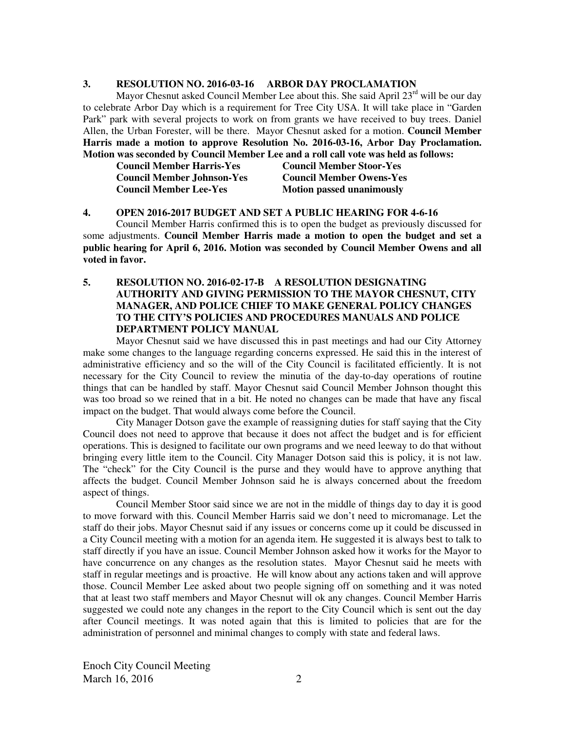## **3. RESOLUTION NO. 2016-03-16 ARBOR DAY PROCLAMATION**

Mayor Chesnut asked Council Member Lee about this. She said April  $23<sup>rd</sup>$  will be our day to celebrate Arbor Day which is a requirement for Tree City USA. It will take place in "Garden Park" park with several projects to work on from grants we have received to buy trees. Daniel Allen, the Urban Forester, will be there. Mayor Chesnut asked for a motion. **Council Member Harris made a motion to approve Resolution No. 2016-03-16, Arbor Day Proclamation. Motion was seconded by Council Member Lee and a roll call vote was held as follows:** 

| <b>Council Member Harris-Yes</b> |  |
|----------------------------------|--|
| Council Member Johnson-Yes       |  |
| <b>Council Member Lee-Yes</b>    |  |

**Council Member Harris-Yes Council Member Stoor-Yes Council Member Owens-Yes Motion passed unanimously** 

#### **4. OPEN 2016-2017 BUDGET AND SET A PUBLIC HEARING FOR 4-6-16**

Council Member Harris confirmed this is to open the budget as previously discussed for some adjustments. **Council Member Harris made a motion to open the budget and set a public hearing for April 6, 2016. Motion was seconded by Council Member Owens and all voted in favor.** 

**5. RESOLUTION NO. 2016-02-17-B A RESOLUTION DESIGNATING AUTHORITY AND GIVING PERMISSION TO THE MAYOR CHESNUT, CITY MANAGER, AND POLICE CHIEF TO MAKE GENERAL POLICY CHANGES TO THE CITY'S POLICIES AND PROCEDURES MANUALS AND POLICE DEPARTMENT POLICY MANUAL** 

Mayor Chesnut said we have discussed this in past meetings and had our City Attorney make some changes to the language regarding concerns expressed. He said this in the interest of administrative efficiency and so the will of the City Council is facilitated efficiently. It is not necessary for the City Council to review the minutia of the day-to-day operations of routine things that can be handled by staff. Mayor Chesnut said Council Member Johnson thought this was too broad so we reined that in a bit. He noted no changes can be made that have any fiscal impact on the budget. That would always come before the Council.

City Manager Dotson gave the example of reassigning duties for staff saying that the City Council does not need to approve that because it does not affect the budget and is for efficient operations. This is designed to facilitate our own programs and we need leeway to do that without bringing every little item to the Council. City Manager Dotson said this is policy, it is not law. The "check" for the City Council is the purse and they would have to approve anything that affects the budget. Council Member Johnson said he is always concerned about the freedom aspect of things.

Council Member Stoor said since we are not in the middle of things day to day it is good to move forward with this. Council Member Harris said we don't need to micromanage. Let the staff do their jobs. Mayor Chesnut said if any issues or concerns come up it could be discussed in a City Council meeting with a motion for an agenda item. He suggested it is always best to talk to staff directly if you have an issue. Council Member Johnson asked how it works for the Mayor to have concurrence on any changes as the resolution states. Mayor Chesnut said he meets with staff in regular meetings and is proactive. He will know about any actions taken and will approve those. Council Member Lee asked about two people signing off on something and it was noted that at least two staff members and Mayor Chesnut will ok any changes. Council Member Harris suggested we could note any changes in the report to the City Council which is sent out the day after Council meetings. It was noted again that this is limited to policies that are for the administration of personnel and minimal changes to comply with state and federal laws.

Enoch City Council Meeting March 16, 2016 2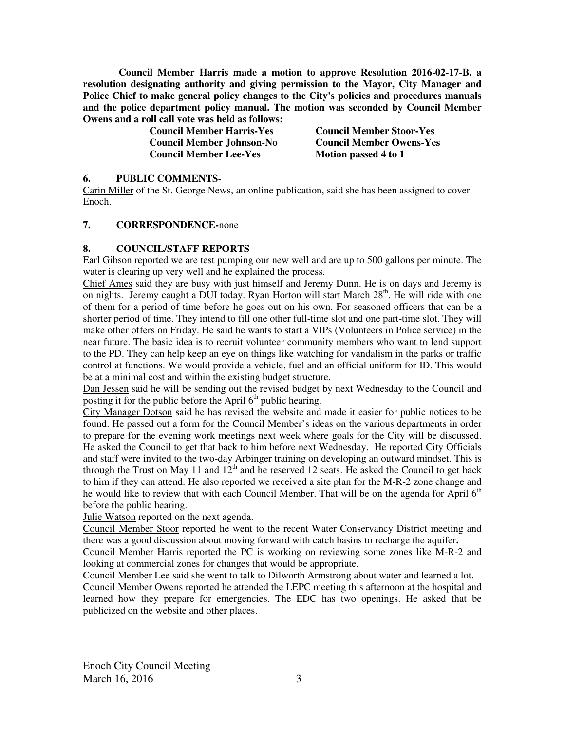**Council Member Harris made a motion to approve Resolution 2016-02-17-B, a resolution designating authority and giving permission to the Mayor, City Manager and Police Chief to make general policy changes to the City's policies and procedures manuals and the police department policy manual. The motion was seconded by Council Member Owens and a roll call vote was held as follows:** 

| <b>Council Member Harris-Yes</b> | <b>Council Member Stoor-Yes</b> |
|----------------------------------|---------------------------------|
| <b>Council Member Johnson-No</b> | <b>Council Member Owens-Yes</b> |
| <b>Council Member Lee-Yes</b>    | Motion passed 4 to 1            |

#### **6. PUBLIC COMMENTS-**

Carin Miller of the St. George News, an online publication, said she has been assigned to cover Enoch.

## **7. CORRESPONDENCE-**none

## **8. COUNCIL/STAFF REPORTS**

Earl Gibson reported we are test pumping our new well and are up to 500 gallons per minute. The water is clearing up very well and he explained the process.

Chief Ames said they are busy with just himself and Jeremy Dunn. He is on days and Jeremy is on nights. Jeremy caught a DUI today. Ryan Horton will start March 28<sup>th</sup>. He will ride with one of them for a period of time before he goes out on his own. For seasoned officers that can be a shorter period of time. They intend to fill one other full-time slot and one part-time slot. They will make other offers on Friday. He said he wants to start a VIPs (Volunteers in Police service) in the near future. The basic idea is to recruit volunteer community members who want to lend support to the PD. They can help keep an eye on things like watching for vandalism in the parks or traffic control at functions. We would provide a vehicle, fuel and an official uniform for ID. This would be at a minimal cost and within the existing budget structure.

Dan Jessen said he will be sending out the revised budget by next Wednesday to the Council and posting it for the public before the April  $6<sup>th</sup>$  public hearing.

City Manager Dotson said he has revised the website and made it easier for public notices to be found. He passed out a form for the Council Member's ideas on the various departments in order to prepare for the evening work meetings next week where goals for the City will be discussed. He asked the Council to get that back to him before next Wednesday. He reported City Officials and staff were invited to the two-day Arbinger training on developing an outward mindset. This is through the Trust on May 11 and  $12<sup>th</sup>$  and he reserved 12 seats. He asked the Council to get back to him if they can attend. He also reported we received a site plan for the M-R-2 zone change and he would like to review that with each Council Member. That will be on the agenda for April  $6<sup>th</sup>$ before the public hearing.

Julie Watson reported on the next agenda.

Council Member Stoor reported he went to the recent Water Conservancy District meeting and there was a good discussion about moving forward with catch basins to recharge the aquifer**.** 

Council Member Harris reported the PC is working on reviewing some zones like M-R-2 and looking at commercial zones for changes that would be appropriate.

Council Member Lee said she went to talk to Dilworth Armstrong about water and learned a lot.

Council Member Owens reported he attended the LEPC meeting this afternoon at the hospital and learned how they prepare for emergencies. The EDC has two openings. He asked that be publicized on the website and other places.